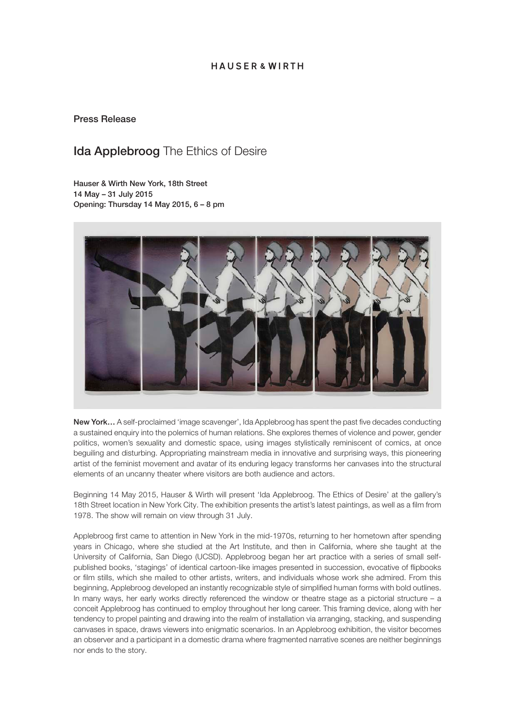## HAUSER & WIRTH

### Press Release

## **Ida Applebroog** The Ethics of Desire

Hauser & Wirth New York, 18th Street 14 May – 31 July 2015 Opening: Thursday 14 May 2015, 6 – 8 pm



New York... A self-proclaimed 'image scavenger', Ida Applebroog has spent the past five decades conducting a sustained enquiry into the polemics of human relations. She explores themes of violence and power, gender politics, women's sexuality and domestic space, using images stylistically reminiscent of comics, at once beguiling and disturbing. Appropriating mainstream media in innovative and surprising ways, this pioneering artist of the feminist movement and avatar of its enduring legacy transforms her canvases into the structural elements of an uncanny theater where visitors are both audience and actors.

Beginning 14 May 2015, Hauser & Wirth will present 'Ida Applebroog. The Ethics of Desire' at the gallery's 18th Street location in New York City. The exhibition presents the artist's latest paintings, as well as a film from 1978. The show will remain on view through 31 July.

Applebroog first came to attention in New York in the mid-1970s, returning to her hometown after spending years in Chicago, where she studied at the Art Institute, and then in California, where she taught at the University of California, San Diego (UCSD). Applebroog began her art practice with a series of small selfpublished books, 'stagings' of identical cartoon-like images presented in succession, evocative of flipbooks or film stills, which she mailed to other artists, writers, and individuals whose work she admired. From this beginning, Applebroog developed an instantly recognizable style of simplified human forms with bold outlines. In many ways, her early works directly referenced the window or theatre stage as a pictorial structure – a conceit Applebroog has continued to employ throughout her long career. This framing device, along with her tendency to propel painting and drawing into the realm of installation via arranging, stacking, and suspending canvases in space, draws viewers into enigmatic scenarios. In an Applebroog exhibition, the visitor becomes an observer and a participant in a domestic drama where fragmented narrative scenes are neither beginnings nor ends to the story.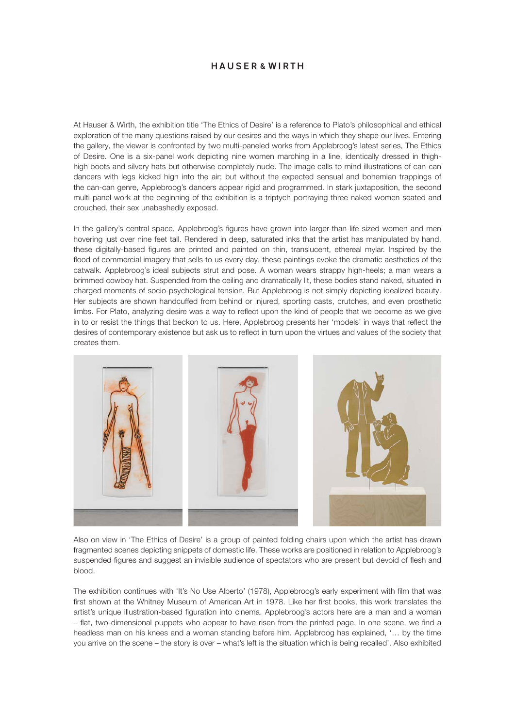## HAUSER & WIRTH

At Hauser & Wirth, the exhibition title 'The Ethics of Desire' is a reference to Plato's philosophical and ethical exploration of the many questions raised by our desires and the ways in which they shape our lives. Entering the gallery, the viewer is confronted by two multi-paneled works from Applebroog's latest series, The Ethics of Desire. One is a six-panel work depicting nine women marching in a line, identically dressed in thighhigh boots and silvery hats but otherwise completely nude. The image calls to mind illustrations of can-can dancers with legs kicked high into the air; but without the expected sensual and bohemian trappings of the can-can genre, Applebroog's dancers appear rigid and programmed. In stark juxtaposition, the second multi-panel work at the beginning of the exhibition is a triptych portraying three naked women seated and crouched, their sex unabashedly exposed.

In the gallery's central space, Applebroog's figures have grown into larger-than-life sized women and men hovering just over nine feet tall. Rendered in deep, saturated inks that the artist has manipulated by hand, these digitally-based figures are printed and painted on thin, translucent, ethereal mylar. Inspired by the flood of commercial imagery that sells to us every day, these paintings evoke the dramatic aesthetics of the catwalk. Applebroog's ideal subjects strut and pose. A woman wears strappy high-heels; a man wears a brimmed cowboy hat. Suspended from the ceiling and dramatically lit, these bodies stand naked, situated in charged moments of socio-psychological tension. But Applebroog is not simply depicting idealized beauty. Her subjects are shown handcuffed from behind or injured, sporting casts, crutches, and even prosthetic limbs. For Plato, analyzing desire was a way to reflect upon the kind of people that we become as we give in to or resist the things that beckon to us. Here, Applebroog presents her 'models' in ways that reflect the desires of contemporary existence but ask us to reflect in turn upon the virtues and values of the society that creates them.



Also on view in 'The Ethics of Desire' is a group of painted folding chairs upon which the artist has drawn fragmented scenes depicting snippets of domestic life. These works are positioned in relation to Applebroog's suspended figures and suggest an invisible audience of spectators who are present but devoid of flesh and blood.

The exhibition continues with 'It's No Use Alberto' (1978), Applebroog's early experiment with film that was first shown at the Whitney Museum of American Art in 1978. Like her first books, this work translates the artist's unique illustration-based figuration into cinema. Applebroog's actors here are a man and a woman – flat, two-dimensional puppets who appear to have risen from the printed page. In one scene, we find a headless man on his knees and a woman standing before him. Applebroog has explained, '… by the time you arrive on the scene – the story is over – what's left is the situation which is being recalled'. Also exhibited